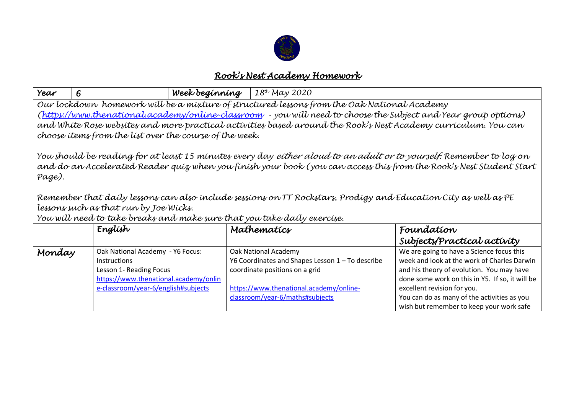

## *Rook's Nest Academy Homework*

| Year                                                                                                                                                                                                                                                                                                                                                                                                                                                                                                 | 6                                                                                                                                                                  | Week beginning | 18th May 2020                                                                                                                                                                            |                                                                                                                                                                                                                                                                                                                                                   |  |  |  |  |
|------------------------------------------------------------------------------------------------------------------------------------------------------------------------------------------------------------------------------------------------------------------------------------------------------------------------------------------------------------------------------------------------------------------------------------------------------------------------------------------------------|--------------------------------------------------------------------------------------------------------------------------------------------------------------------|----------------|------------------------------------------------------------------------------------------------------------------------------------------------------------------------------------------|---------------------------------------------------------------------------------------------------------------------------------------------------------------------------------------------------------------------------------------------------------------------------------------------------------------------------------------------------|--|--|--|--|
| Our lockdown homework will be a mixture of structured lessons from the Oak National Academy<br>(https://www.thenational.academy/online-classroom - you will need to choose the Subject and Year group options)<br>and White Rose websites and more practical activities based around the Rook's Nest Academy curriculum. You can<br>choose items from the list over the course of the week.                                                                                                          |                                                                                                                                                                    |                |                                                                                                                                                                                          |                                                                                                                                                                                                                                                                                                                                                   |  |  |  |  |
| You should be reading for at least 15 minutes every day <i>either aloud to an adult or to yourself.</i> Remember to log on<br>and do an Accelerated Reader quiz when you finish your book (you can access this from the Rook's Nest Student Start<br>Page).<br>Remember that daily lessons can also include sessions on TT Rockstars, Prodigy and Education City as well as PE<br>lessons such as that run by Joe Wicks.<br>You will need to take breaks and make sure that you take daily exercise. |                                                                                                                                                                    |                |                                                                                                                                                                                          |                                                                                                                                                                                                                                                                                                                                                   |  |  |  |  |
|                                                                                                                                                                                                                                                                                                                                                                                                                                                                                                      | Englísh                                                                                                                                                            |                | Mathematics                                                                                                                                                                              | Foundation                                                                                                                                                                                                                                                                                                                                        |  |  |  |  |
| Monday                                                                                                                                                                                                                                                                                                                                                                                                                                                                                               | Oak National Academy - Y6 Focus:<br><b>Instructions</b><br>Lesson 1- Reading Focus<br>https://www.thenational.academy/onlin<br>e-classroom/year-6/english#subjects |                | Oak National Academy<br>Y6 Coordinates and Shapes Lesson 1 - To describe<br>coordinate positions on a grid<br>https://www.thenational.academy/online-<br>classroom/year-6/maths#subjects | Subjects/Practical activity<br>We are going to have a Science focus this<br>week and look at the work of Charles Darwin<br>and his theory of evolution. You may have<br>done some work on this in Y5. If so, it will be<br>excellent revision for you.<br>You can do as many of the activities as you<br>wish but remember to keep your work safe |  |  |  |  |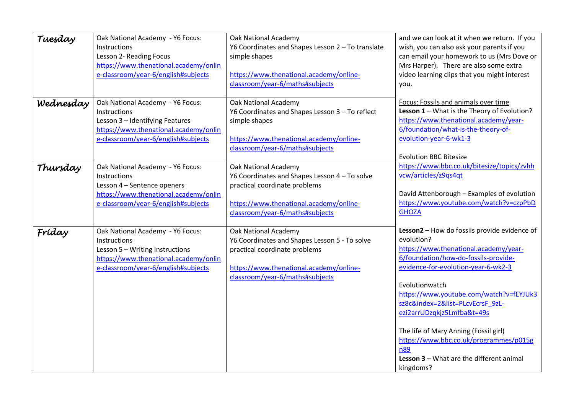| Tuesday   | Oak National Academy - Y6 Focus:      | Oak National Academy                              | and we can look at it when we return. If you                                |
|-----------|---------------------------------------|---------------------------------------------------|-----------------------------------------------------------------------------|
|           | <b>Instructions</b>                   | Y6 Coordinates and Shapes Lesson 2 - To translate | wish, you can also ask your parents if you                                  |
|           | Lesson 2- Reading Focus               | simple shapes                                     | can email your homework to us (Mrs Dove or                                  |
|           | https://www.thenational.academy/onlin |                                                   | Mrs Harper). There are also some extra                                      |
|           | e-classroom/year-6/english#subjects   | https://www.thenational.academy/online-           | video learning clips that you might interest                                |
|           |                                       | classroom/year-6/maths#subjects                   | you.                                                                        |
|           |                                       |                                                   |                                                                             |
| Wednesday | Oak National Academy - Y6 Focus:      | <b>Oak National Academy</b>                       | Focus: Fossils and animals over time                                        |
|           | Instructions                          | Y6 Coordinates and Shapes Lesson 3 - To reflect   | Lesson 1 - What is the Theory of Evolution?                                 |
|           | Lesson 3 - Identifying Features       | simple shapes                                     | https://www.thenational.academy/year-                                       |
|           | https://www.thenational.academy/onlin |                                                   | 6/foundation/what-is-the-theory-of-                                         |
|           | e-classroom/year-6/english#subjects   | https://www.thenational.academy/online-           | evolution-year-6-wk1-3                                                      |
|           |                                       | classroom/year-6/maths#subjects                   |                                                                             |
|           |                                       |                                                   | <b>Evolution BBC Bitesize</b>                                               |
| Thursday  | Oak National Academy - Y6 Focus:      | <b>Oak National Academy</b>                       | https://www.bbc.co.uk/bitesize/topics/zvhh                                  |
|           | Instructions                          | Y6 Coordinates and Shapes Lesson 4 - To solve     | vcw/articles/z9qs4qt                                                        |
|           | Lesson 4 - Sentence openers           | practical coordinate problems                     |                                                                             |
|           | https://www.thenational.academy/onlin |                                                   | David Attenborough - Examples of evolution                                  |
|           | e-classroom/year-6/english#subjects   | https://www.thenational.academy/online-           | https://www.youtube.com/watch?v=czpPbD                                      |
|           |                                       | classroom/year-6/maths#subjects                   | <b>GHOZA</b>                                                                |
|           |                                       |                                                   |                                                                             |
| Fríday    | Oak National Academy - Y6 Focus:      | <b>Oak National Academy</b>                       | Lesson2 - How do fossils provide evidence of                                |
|           | Instructions                          | Y6 Coordinates and Shapes Lesson 5 - To solve     | evolution?                                                                  |
|           | Lesson 5 - Writing Instructions       | practical coordinate problems                     | https://www.thenational.academy/year-                                       |
|           | https://www.thenational.academy/onlin |                                                   | 6/foundation/how-do-fossils-provide-                                        |
|           | e-classroom/year-6/english#subjects   | https://www.thenational.academy/online-           | evidence-for-evolution-year-6-wk2-3                                         |
|           |                                       | classroom/year-6/maths#subjects                   |                                                                             |
|           |                                       |                                                   | Evolutionwatch                                                              |
|           |                                       |                                                   | https://www.youtube.com/watch?v=fEYJUk3<br>sz8c&index=2&list=PLcvEcrsF 9zL- |
|           |                                       |                                                   |                                                                             |
|           |                                       |                                                   | ezi2arrUDzqkjz5Lmfba&t=49s                                                  |
|           |                                       |                                                   | The life of Mary Anning (Fossil girl)                                       |
|           |                                       |                                                   | https://www.bbc.co.uk/programmes/p015g                                      |
|           |                                       |                                                   | n89                                                                         |
|           |                                       |                                                   | Lesson 3 - What are the different animal                                    |
|           |                                       |                                                   | kingdoms?                                                                   |